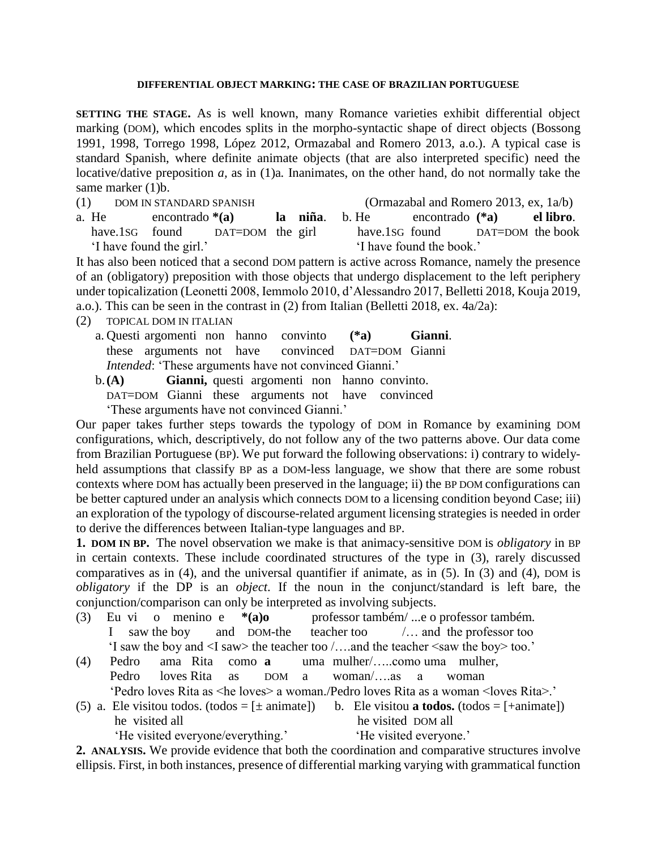## **DIFFERENTIAL OBJECT MARKING: THE CASE OF BRAZILIAN PORTUGUESE**

**SETTING THE STAGE.** As is well known, many Romance varieties exhibit differential object marking (DOM), which encodes splits in the morpho-syntactic shape of direct objects (Bossong 1991, 1998, Torrego 1998, López 2012, Ormazabal and Romero 2013, a.o.). A typical case is standard Spanish, where definite animate objects (that are also interpreted specific) need the locative/dative preposition *a,* as in [\(1\)](#page-0-0)[a](#page-0-1)*.* Inanimates, on the other hand, do not normally take the same marker [\(1\)b](#page-0-0).

<span id="page-0-1"></span><span id="page-0-0"></span>

| (1) DOM IN STANDARD SPANISH |                          |                                 |  |  | (Ormazabal and Romero 2013, ex. $1a/b$ ) |                                          |                                 |  |  |
|-----------------------------|--------------------------|---------------------------------|--|--|------------------------------------------|------------------------------------------|---------------------------------|--|--|
|                             | a. He                    | encontrado $*(a)$               |  |  |                                          | la niña. b. He encontrado (*a) el libro. |                                 |  |  |
|                             |                          | have.1sG found DAT=DOM the girl |  |  |                                          |                                          | have lsg found DAT=DOM the book |  |  |
|                             | 'I have found the girl.' |                                 |  |  |                                          | 'I have found the book.'                 |                                 |  |  |

It has also been noticed that a second DOM pattern is active across Romance, namely the presence of an (obligatory) preposition with those objects that undergo displacement to the left periphery under topicalization (Leonetti 2008, Iemmolo 2010, d'Alessandro 2017, Belletti 2018, Kouja 2019, a.o.). This can be seen in the contrast in [\(2\)](#page-0-2) from Italian (Belletti 2018, ex. 4a/2a):

- <span id="page-0-2"></span>(2) TOPICAL DOM IN ITALIAN
	- a. Questi argomenti non hanno convinto **(\*a) Gianni**. these arguments not have convinced DAT=DOM Gianni *Intended*: 'These arguments have not convinced Gianni.'
	- b.**(A) Gianni,** questi argomenti non hanno convinto. DAT=DOM Gianni these arguments not have convinced
		- 'These arguments have not convinced Gianni.'

Our paper takes further steps towards the typology of DOM in Romance by examining DOM configurations, which, descriptively, do not follow any of the two patterns above. Our data come from Brazilian Portuguese (BP). We put forward the following observations: i) contrary to widelyheld assumptions that classify BP as a DOM-less language, we show that there are some robust contexts where DOM has actually been preserved in the language; ii) the BP DOM configurations can be better captured under an analysis which connects DOM to a licensing condition beyond Case; iii) an exploration of the typology of discourse-related argument licensing strategies is needed in order to derive the differences between Italian-type languages and BP.

**1. DOM IN BP.** The novel observation we make is that animacy-sensitive DOM is *obligatory* in BP in certain contexts. These include coordinated structures of the type in [\(3\),](#page-0-3) rarely discussed comparatives as in [\(4\),](#page-0-4) and the universal quantifier if animate, as in [\(5\).](#page-0-5) In [\(3\)](#page-0-3) and [\(4\),](#page-0-6) DOM is *obligatory* if the DP is an *object*. If the noun in the conjunct/standard is left bare, the conjunction/comparison can only be interpreted as involving subjects.

- <span id="page-0-7"></span><span id="page-0-3"></span>(3) Eu vi o menino e **\*(a)o** professor também/ ...e o professor também*.* I saw the boy and DOM-the teacher too /… and the professor too 'I saw the boy and <I saw> the teacher too /….and the teacher <saw the boy> too.'
- <span id="page-0-6"></span><span id="page-0-4"></span>(4) Pedro ama Rita como **a** uma mulher/…..como uma mulher, Pedro loves Rita as DOM a woman/….as a woman 'Pedro loves Rita as <he loves> a woman./Pedro loves Rita as a woman <loves Rita>.'
- <span id="page-0-5"></span>(5) a. Ele visitou todos.  $(todos = [\pm \text{animate}])$  b. Ele visitou **a todos.**  $(todos = [\pm \text{animate}])$ **he** visited all **he visited DOM all**

'He visited everyone/everything.' 'He visited everyone.'

**2. ANALYSIS.** We provide evidence that both the coordination and comparative structures involve ellipsis. First, in both instances, presence of differential marking varying with grammatical function